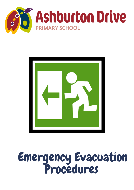



# Emergency Evacuation Procedures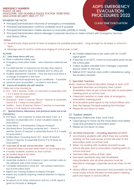#### EMERGENCY NUMBERS POLICE: 131 444 POLICE/FIRE: 000 GOSNELLS POLICE STATION: 9398 0000 EDUCATION SECURITY 1800 177 777

#### ESTABLISH THE FACTS

- Principal/Administration informed of emergency immediately.
- Principal/Administration confirms available facts if possible.
- Principal/Administration makes decision to evacuate partially or totally
- Principal/Administration directs Manager Corporate Services to make contact with Emergency Services and District Office

#### **SIGNAL**

- Several loud, sharp bursts of siren to prepare for possible evacuation long enough for all areas in school to hear.
- Message over PA and/or continuous ringing of school siren or bell.

#### ACTIONS

#### A) Take these items with you:

- Wear a reflective safety vest.
- Emergency evacuation folder near classroom external exit door
- If a relief teacher in classroom for the day, they need to bring green absence slip if not already sent to office yet
- Student Attendance Checklist Print one each time there is a change of students in the room
- Turn off electrical equipment eg air conditioner if possible
- Leave as soon as possible no need to lock doors

#### B) Ensure all students are with teacher:

Toilets are to be checked by:

- ECE Unit 2 Teacher (Units 1 & 3 teachers to assembly Units 1, 2 & 3 ready for evacuation)
- Green Administration
- Strickland Room 6 teacher (Room 7 teacher to assemble Rooms 6 & 7 ready for evacuation)
- Draffen Room 18 teacher (Room 17 teacher to assemble Rooms 17 & 18 ready for evacuation.

#### C) Special Rooms, Mezzanine, and practical areas are to be checked by:

- ECE Block Unit 2 teacher to check the block (Unit 1 & 3 teachers to assemble Unit 1, 2 and 3 students ready for evacuation)
- Green Block Administration (Deputy Principal)
- Strickland Block (including computer lab) Room II teacher (Room 10 teacher to assemble Rooms 10 & 11 ready for evacuation)
- Draffen Block (including Room 19)– Room 18 teacher (Room 17 teacher to assemble Rooms 17 & 18 ready for evacuation)
- D) Evacuate all as per school site plan see map.
- If parents/visitors are seen direct them to accompany you
- If readily available, students to wear sunhats
- No student bags to be taken
- E) At Evacuation Point
- Assemble students K to 6 classes in room number order on the wetlands side of the school oval
- Complete attendance check list not outside classrooms but at evacuation point
- Report any missing students to Deputy Principal
- Report any students requiring medical attention to Deputy Principal
- No person to re-enter classrooms until 'ALL CLEAR' signal is given by Principal or delegate
- No mobile telephones to be used until 'ALL CLEAR' signal given
- If teacher is on DOTT, move to evacuation point as per the school plan
- Collect student checklist from manager corporate service when on the oval
- Relieve DOTT teacher and confirm attendance using the student checklist

#### F) Specialist Teachers

Music, Science, Physical Education, Design & Tech, LOTE

- Specialist teachers accompany their current timetabled class as per school site plan to evacuation meeting point on school oval.
- Classroom teacher to meet class at emergency evacuation meeting point.
- At evacuation point report to the School Officer and then the Deputy Principal assisting the Principal
- Please do not return to class.

#### G) Outdoor Lessons

Playground, Undercover Area, Oval, Pond

- Class/group to move via the most direct and safest route and proceed to evacuation point.
- Please do not return to class.

#### H) All Other Personnel - Including teachers on DOTT

- Accompany students with which they are currently working via the route as per school site plan to the evacuation point on school oval.
- When not working with students proceed as per school site plan and to evacuation meeting point on school oval and
- Teachers take control of their class
- Education assistants stay with timetabled class/students and all other persons must be directed to manager corporate services when on the oval
- Library officer checks storeroom and proceeds via the route as per school site plan to evacuation meeting point and report to School Officer

# ADPS EMERGENCY EVACUATION PROCEDURES 2022

CLASS TIME EVACUATION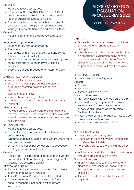#### PRINCIPAL

- Wear a reflective safety vest
- Press 'Fire' button on INTEGRIS and print MORNING attendance report. This is to be used to confirm teacher queries at evacuation point
- Proceed via the route as per school site plan to evacuation assembly point on school oval with Manager Corporate Services and School Officer Collect:
- mobile telephone and emergency evacuation folder

#### At evacuation point oversee:

- Student safety and accountability
- Site safety
- Coordinate with emergency services and District Office and parent contacts
- Determine if the second emergency meeting point on the campus of Southern River College is required
- Issue all clear and procedure for return to class

#### MANAGER CORPORATE SERVICES

- Wear a reflective safety vest.
- Exit with Principal as per school site plan to evacuation meeting point on school oval

#### ·Collect:

- electrical cabinet keys
- tap handle for isolating valves
- student contact and medical details information to Principal

# At evacuation point:

- Provide copies of student checklists to teachers when or if required. Two copies should be available - one for admin use and one for class teacher use.
- Assist Principal

# SCHOOL OFFICER

- Wear a reflective safety vest.
- Check staff room, interview and conference room before exiting.
- Evacuate students in sickbay and visitors where there is no teacher present
- Exit with Principal as per school plan to evacuation meeting point on school oval.

# Collect:

Office iPad - Passtab app used for locating visitors and relief staff (bring back up manual register if Passtab iPad system is down)

# At evacuation point:

- Ensure that all visitors are accounted for and report information to Deputy Principal
- Assist Principal or Deputy Principal if needed.
- Collect green absence forms from relief teachers and hand to teachers if not sent to office before evacuation

# ADPS EMERGENCY EVACUATION PROCEDURES 2022

CLASS TIME EVACUATION

#### GARDENER

- Proceeds to evacuation meeting point on school oval and reports to Deputy Principal.
- If Southern River College is to be utilised as an emergency evacuation point, school gardener proceeds to Southern River Road crossing to assist staff in the movement of all personnel across Southern River Road.

#### DEPUTY PRINCIPAL #1

- Wear a reflective safety vest
- Collect:
- First aid kit
- Epi pens
- Asthma kit from sick bay.

#### At evacuation point:

- Provide Principal with the medical checklist.
- If second emergency assembly point at Southern River College is to be utilised, supervise staff and students crossing Southern River Road.
- Assume coordination of medical issues upon arrival at evacuation point.
- $\bullet$  Health Advice line 1800 022 222

# DEPUTY PRINCIPAL #2

- Wear a reflective safety vest.
- Check Green Block Mezzanine, Staff Toilets and Green Block toilets.
- Refer any parents to the oval via the safest route.
- Initially assist and directing PP and K students through gates directly on to oval.

# At evacuation point:

- Informs Principal as to the follow up and clearance form issues on behalf of the Principal and contacts any teacher on an excursion
- Assists Principal with medical issues if  $\bullet$ required